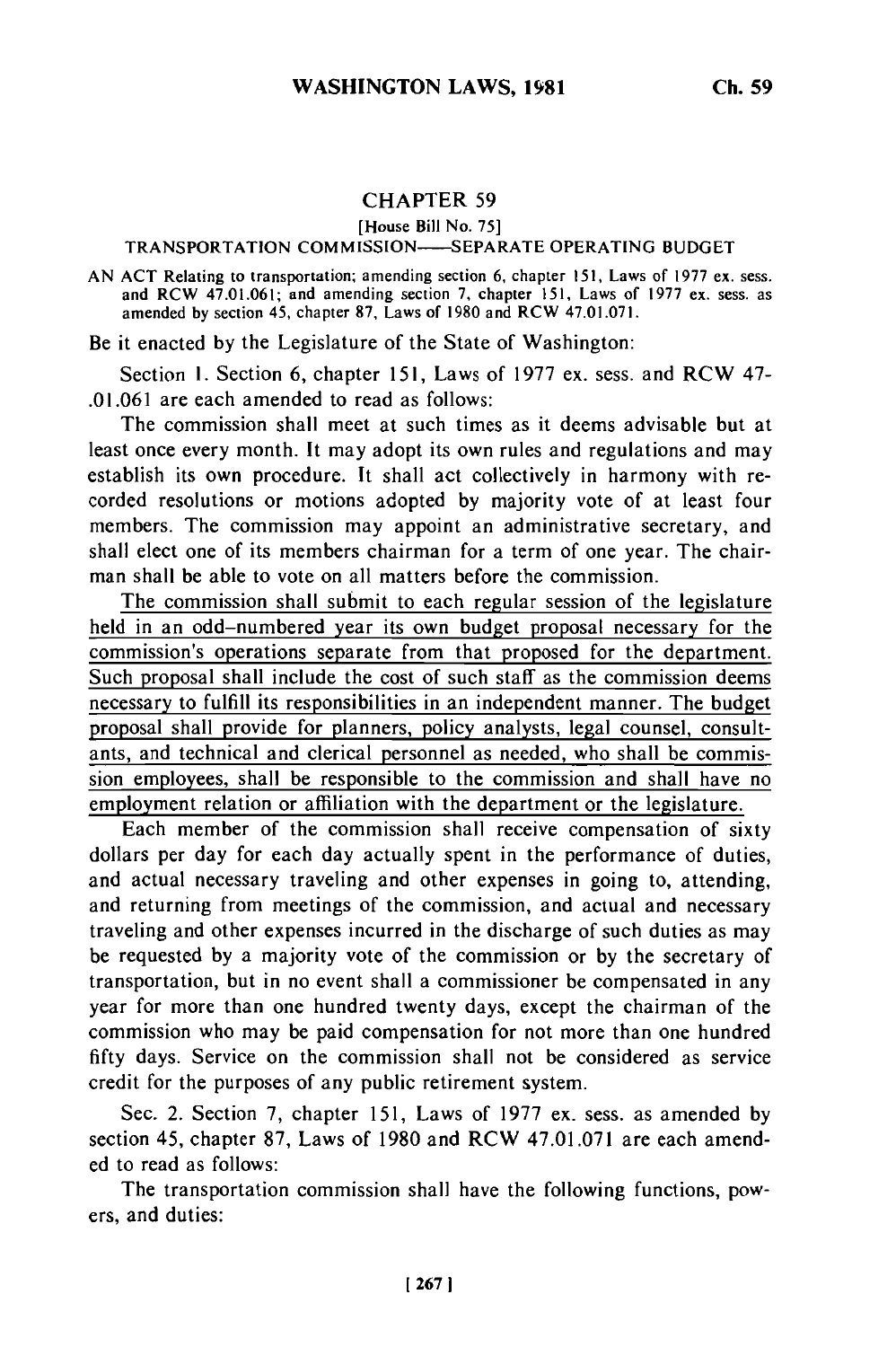## **CHAPTER 59**

[House Bill No. **75]**

## TRANSPORTATION COMM ISSION **SEPARATE** OPERATING **BUDGET**

AN **ACT** Relating to transportation; amending section 6, chapter **151,** Laws of **1977** ex. sess. and RCW 47.01.061; and amending section 7, chapter 151, Laws of **1977** ex. sess. as amended **by** section 45, chapter **87,** Laws of 1980 and RCW 47.01.071.

Be it enacted by the Legislature of the State of Washington:

Section 1. Section 6, chapter 151, Laws of 1977 ex. sess. and RCW 47- .01.061 are each amended to read as follows:

The commission shall meet at such times as it deems advisable but at least once every month. It may adopt its own rules and regulations and may establish its own procedure. It shall act collectively in harmony with recorded resolutions or motions adopted by majority vote of at least four members. The commission may appoint an administrative secretary, and shall elect one of its members chairman for a term of one year. The chairman shall be able to vote on all matters before the commission.

The commission shall submit to each regular session of the legislature held in an odd-numbered year its own budget proposal necessary for the commission's operations separate from that proposed for the department. Such proposal shall include the cost of such staff as the commission deems necessary to fulfill its responsibilities in an independent manner. The budget proposal shall provide for planners, policy analysts, legal counsel, consultants, and technical and clerical personnel as needed, who shall be commission employees, shall be responsible to the commission and shall have no employment relation or affiliation with the department or the legislature.

Each member of the commission shall receive compensation of sixty dollars per day for each day actually spent in the performance of duties, and actual necessary traveling and other expenses in going to, attending, and returning from meetings of the commission, and actual and necessary traveling and other expenses incurred in the discharge of such duties as may be requested by a majority vote of the commission or by the secretary of transportation, but in no event shall a commissioner be compensated in any year for more than one hundred twenty days, except the chairman of the commission who may be paid compensation for not more than one hundred fifty days. Service on the commission shall not be considered as service credit for the purposes of any public retirement system.

Sec. 2. Section 7, chapter 151, Laws of 1977 ex. sess. as amended by section 45, chapter 87, Laws of 1980 and RCW 47.01.071 are each amended to read as follows:

The transportation commission shall have the following functions, powers, and duties: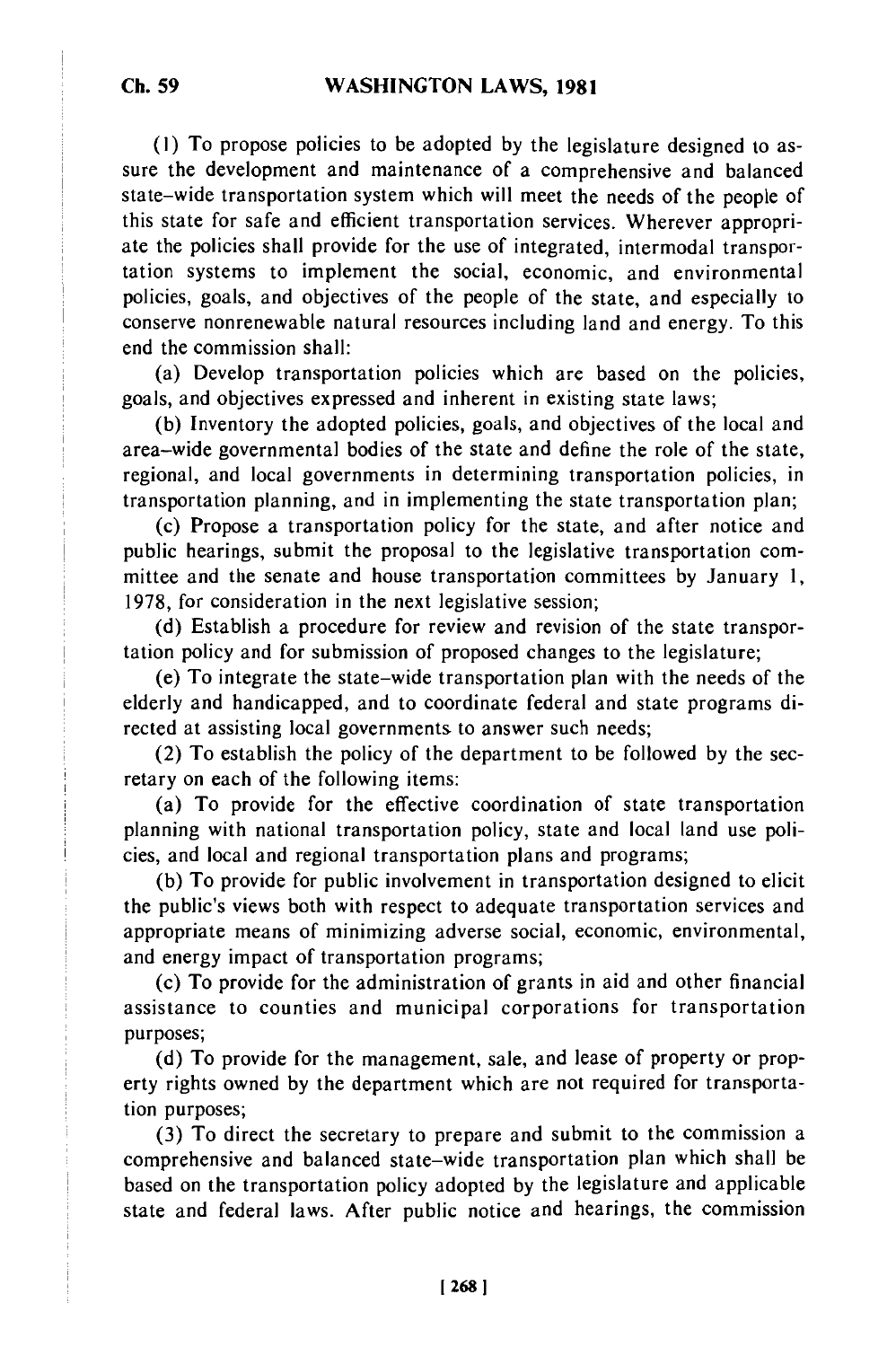**(1)** To propose policies to be adopted by the legislature designed to assure the development and maintenance of a comprehensive and balanced state-wide transportation system which will meet the needs of the people of this state for safe and efficient transportation services. Wherever appropriate the policies shall provide for the use of integrated, intermodal transportation systems to implement the social, economic, and environmental policies, goals, and objectives of the people of the state, and especially to conserve nonrenewable natural resources including land and energy. To this end the commission shall:

(a) Develop transportation policies which are based on the policies, goals, and objectives expressed and inherent in existing state laws;

(b) Inventory the adopted policies, goals, and objectives of the local and area-wide governmental bodies of the state and define the role of the state, regional, and local governments in determining transportation policies, in transportation planning, and in implementing the state transportation plan;

(c) Propose a transportation policy for the state, and after notice and public hearings, submit the proposal to the legislative transportation committee and the senate and house transportation committees by January 1, 1978, for consideration in the next legislative session;

(d) Establish a procedure for review and revision of the state transportation policy and for submission of proposed changes to the legislature;

(e) To integrate the state-wide transportation plan with the needs of the elderly and handicapped, and to coordinate federal and state programs directed at assisting local governments to answer such needs;

(2) To establish the policy of the department to be followed by the secretary on each of the following items:

(a) To provide for the effective coordination of state transportation planning with national transportation policy, state and local land use policies, and local and regional transportation plans and programs;

(b) To provide for public involvement in transportation designed to elicit the public's views both with respect to adequate transportation services and appropriate means of minimizing adverse social, economic, environmental, and energy impact of transportation programs;

(c) To provide for the administration of grants in aid and other financial assistance to counties and municipal corporations for transportation purposes;

(d) To provide for the management, sale, and lease of property or property rights owned by the department which are not required for transportation purposes;

(3) To direct the secretary to prepare and submit to the commission a comprehensive and balanced state-wide transportation plan which shall be based on the transportation policy adopted by the legislature and applicable state and federal laws. After public notice and hearings, the commission